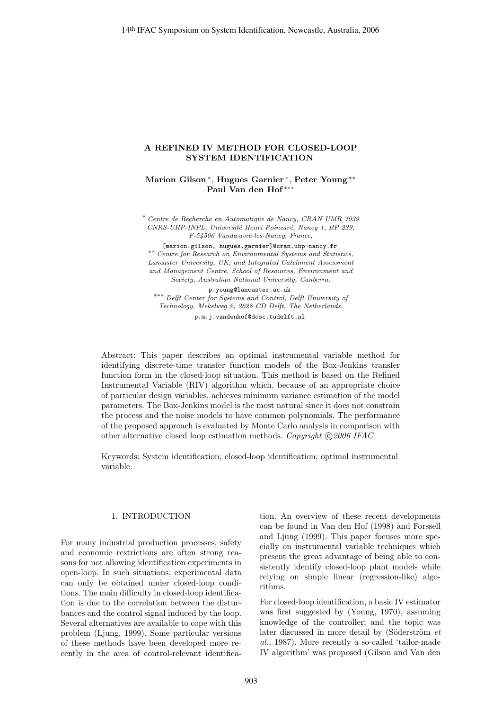## **A REFINED IV METHOD FOR CLOSED-LOOP SYSTEM IDENTIFICATION**

**Marion Gilson** <sup>∗</sup>, **Hugues Garnier** <sup>∗</sup>, **Peter Young** ∗∗ **Paul Van den Hof** ∗∗∗

∗ Centre de Recherche en Automatique de Nancy, CRAN UMR 7039 CNRS-UHP-INPL, Université Henri Poincaré, Nancy 1, BP 239, F-54506 Vandœuvre-les-Nancy, France,

[marion.gilson, hugues.garnier]@cran.uhp-nancy.fr ∗∗ Centre for Research on Environmental Systems and Statistics, Lancaster University, UK; and Integrated Catchment Assessment and Management Centre, School of Resources, Environment and Society, Australian National University, Canberra.

p.young@lancaster.ac.uk

∗∗∗ Delft Center for Systems and Control, Delft University of Technology, Mekelweg 2, 2628 CD Delft, The Netherlands. p.m.j.vandenhof@dcsc.tudelft.nl

Abstract: This paper describes an optimal instrumental variable method for identifying discrete-time transfer function models of the Box-Jenkins transfer function form in the closed-loop situation. This method is based on the Refined Instrumental Variable (RIV) algorithm which, because of an appropriate choice of particular design variables, achieves minimum variance estimation of the model parameters. The Box-Jenkins model is the most natural since it does not constrain the process and the noise models to have common polynomials. The performance of the proposed approach is evaluated by Monte Carlo analysis in comparison with other alternative closed loop estimation methods. Copyright  $\bigcirc$  2006 IFAC

Keywords: System identification; closed-loop identification; optimal instrumental variable.

### 1. INTRODUCTION

For many industrial production processes, safety and economic restrictions are often strong reasons for not allowing identification experiments in open-loop. In such situations, experimental data can only be obtained under closed-loop conditions. The main difficulty in closed-loop identification is due to the correlation between the disturbances and the control signal induced by the loop. Several alternatives are available to cope with this problem (Ljung, 1999). Some particular versions of these methods have been developed more recently in the area of control-relevant identification. An overview of these recent developments can be found in Van den Hof (1998) and Forssell and Ljung (1999). This paper focuses more specially on instrumental variable techniques which present the great advantage of being able to consistently identify closed-loop plant models while relying on simple linear (regression-like) algorithms.

For closed-loop identification, a basic IV estimator was first suggested by (Young, 1970), assuming knowledge of the controller; and the topic was later discussed in more detail by (Söderström  $et$ al., 1987). More recently a so-called 'tailor-made IV algorithm' was proposed (Gilson and Van den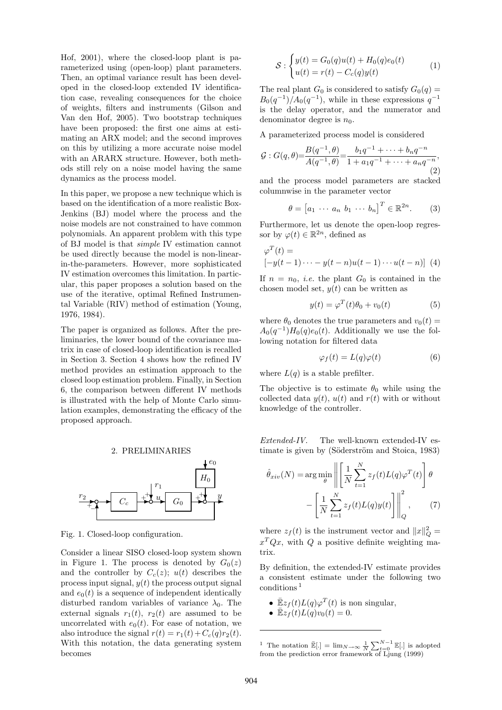Hof, 2001), where the closed-loop plant is parameterized using (open-loop) plant parameters. Then, an optimal variance result has been developed in the closed-loop extended IV identification case, revealing consequences for the choice of weights, filters and instruments (Gilson and Van den Hof, 2005). Two bootstrap techniques have been proposed: the first one aims at estimating an ARX model; and the second improves on this by utilizing a more accurate noise model with an ARARX structure. However, both methods still rely on a noise model having the same dynamics as the process model.

In this paper, we propose a new technique which is based on the identification of a more realistic Box-Jenkins (BJ) model where the process and the noise models are not constrained to have common polynomials. An apparent problem with this type of BJ model is that simple IV estimation cannot be used directly because the model is non-linearin-the-parameters. However, more sophisticated IV estimation overcomes this limitation. In particular, this paper proposes a solution based on the use of the iterative, optimal Refined Instrumental Variable (RIV) method of estimation (Young, 1976, 1984).

The paper is organized as follows. After the preliminaries, the lower bound of the covariance matrix in case of closed-loop identification is recalled in Section 3. Section 4 shows how the refined IV method provides an estimation approach to the closed loop estimation problem. Finally, in Section 6, the comparison between different IV methods is illustrated with the help of Monte Carlo simulation examples, demonstrating the efficacy of the proposed approach.





Fig. 1. Closed-loop configuration.

Consider a linear SISO closed-loop system shown in Figure 1. The process is denoted by  $G_0(z)$ and the controller by  $C_c(z)$ ;  $u(t)$  describes the process input signal,  $y(t)$  the process output signal and  $e_0(t)$  is a sequence of independent identically disturbed random variables of variance  $\lambda_0$ . The external signals  $r_1(t)$ ,  $r_2(t)$  are assumed to be uncorrelated with  $e_0(t)$ . For ease of notation, we also introduce the signal  $r(t) = r_1(t) + C_c(q)r_2(t)$ . With this notation, the data generating system becomes

$$
S: \begin{cases} y(t) = G_0(q)u(t) + H_0(q)e_0(t) \\ u(t) = r(t) - C_c(q)y(t) \end{cases} (1)
$$

The real plant  $G_0$  is considered to satisfy  $G_0(q)$  =  $B_0(q^{-1})/A_0(q^{-1})$ , while in these expressions  $q^{-1}$ is the delay operator, and the numerator and denominator degree is  $n_0$ .

A parameterized process model is considered

$$
\mathcal{G}: G(q,\theta) = \frac{B(q^{-1},\theta)}{A(q^{-1},\theta)} = \frac{b_1 q^{-1} + \dots + b_n q^{-n}}{1 + a_1 q^{-1} + \dots + a_n q^{-n}},
$$
\n(2)

and the process model parameters are stacked columnwise in the parameter vector

$$
\theta = [a_1 \cdots a_n \ b_1 \cdots b_n]^T \in \mathbb{R}^{2n}.
$$
 (3)

Furthermore, let us denote the open-loop regressor by  $\varphi(t) \in \mathbb{R}^{2n}$ , defined as

$$
\varphi^T(t) =
$$
  

$$
[-y(t-1)\cdots - y(t-n)u(t-1)\cdots u(t-n)]
$$
 (4)

If  $n = n_0$ , *i.e.* the plant  $G_0$  is contained in the chosen model set,  $y(t)$  can be written as

$$
y(t) = \varphi^T(t)\theta_0 + v_0(t) \tag{5}
$$

where  $\theta_0$  denotes the true parameters and  $v_0(t)$  =  $A_0(q^{-1})H_0(q)e_0(t)$ . Additionally we use the following notation for filtered data

$$
\varphi_f(t) = L(q)\varphi(t) \tag{6}
$$

where  $L(q)$  is a stable prefilter.

The objective is to estimate  $\theta_0$  while using the collected data  $y(t)$ ,  $u(t)$  and  $r(t)$  with or without knowledge of the controller.

Extended-IV. The well-known extended-IV estimate is given by (Söderström and Stoica, 1983)

$$
\hat{\theta}_{xiv}(N) = \arg\min_{\theta} \left\| \left[ \frac{1}{N} \sum_{t=1}^{N} z_f(t) L(q) \varphi^T(t) \right] \theta \right\|_{Q}^2
$$

$$
- \left[ \frac{1}{N} \sum_{t=1}^{N} z_f(t) L(q) y(t) \right] \Big|_{Q}^2, \qquad (7)
$$

where  $z_f(t)$  is the instrument vector and  $||x||_Q^2 =$  $x^TQx$ , with Q a positive definite weighting matrix.

By definition, the extended-IV estimate provides a consistent estimate under the following two conditions <sup>1</sup>

- $\mathbb{E}z_f(t)L(q)\varphi^T(t)$  is non singular,
- $\mathbb{E}z_f(t)L(q)v_0(t) = 0.$

<sup>&</sup>lt;sup>1</sup> The notation  $\mathbb{E}[.]=\lim_{N\to\infty}\frac{1}{N}\sum_{t=0}^{N-1}\mathbb{E}[.]$  is adopted from the prediction error framework of Ljung (1999)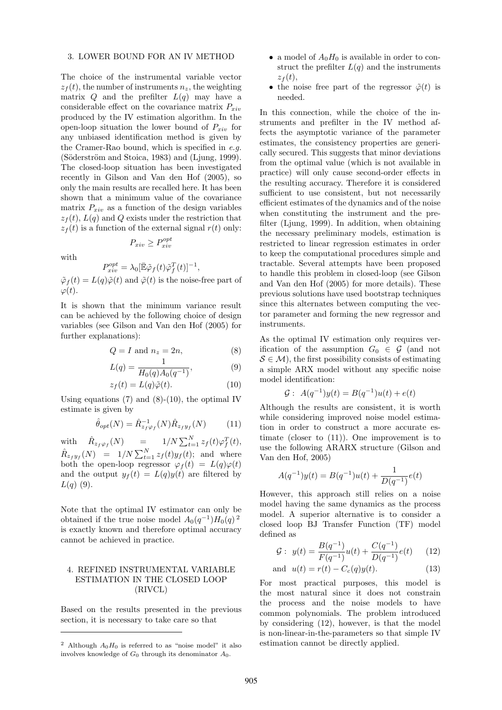#### 3. LOWER BOUND FOR AN IV METHOD

The choice of the instrumental variable vector  $z_f(t)$ , the number of instruments  $n_z$ , the weighting matrix  $Q$  and the prefilter  $L(q)$  may have a considerable effect on the covariance matrix  $P_{xiv}$ produced by the IV estimation algorithm. In the open-loop situation the lower bound of  $P_{xiv}$  for any unbiased identification method is given by the Cramer-Rao bound, which is specified in  $e.q$ .  $(Söderström and Stoica, 1983)$  and  $(Ljung, 1999)$ . The closed-loop situation has been investigated recently in Gilson and Van den Hof (2005), so only the main results are recalled here. It has been shown that a minimum value of the covariance matrix  $P_{xiv}$  as a function of the design variables  $z<sub>f</sub>(t)$ ,  $L(q)$  and Q exists under the restriction that  $z_f(t)$  is a function of the external signal  $r(t)$  only:

$$
P_{xiv} \ge P_{xiv}^{opt}
$$

with

$$
P_{xiv}^{opt} = \lambda_0 [\bar{\mathbb{E}} \tilde{\varphi}_f(t) \tilde{\varphi}_f^T(t)]^{-1},
$$
  
L(a)  $\tilde{\varphi}(t)$  and  $\tilde{\varphi}(t)$  is the noise- $t$ .

 $\tilde{\varphi}_f(t) = L(q)\tilde{\varphi}(t)$  and  $\tilde{\varphi}(t)$  is the noise-free part of  $\varphi(t)$ .

It is shown that the minimum variance result can be achieved by the following choice of design variables (see Gilson and Van den Hof (2005) for further explanations):

$$
Q = I \text{ and } n_z = 2n,\tag{8}
$$

$$
L(q) = \frac{1}{H_0(q)A_0(q^{-1})},\tag{9}
$$

$$
z_f(t) = L(q)\tilde{\varphi}(t). \tag{10}
$$

Using equations  $(7)$  and  $(8)-(10)$ , the optimal IV estimate is given by

$$
\hat{\theta}_{opt}(N) = \hat{R}_{z_f \varphi_f}^{-1}(N) \hat{R}_{z_f y_f}(N) \tag{11}
$$

with  $\hat{R}_{z_f \varphi_f}(N)$  =  $1/N \sum_{t=1}^{N} z_f(t) \varphi_f^T(t),$  $\hat{R}_{z_f y_f}(N)$  =  $1/N \sum_{t=1}^{N} z_f(t)y_f(t)$ ; and where both the open-loop regressor  $\varphi_f(t) = L(q)\varphi(t)$ and the output  $y_f(t) = L(q)y(t)$  are filtered by  $L(q)$  (9).

Note that the optimal IV estimator can only be obtained if the true noise model  $A_0(q^{-1})H_0(q)^2$ is exactly known and therefore optimal accuracy cannot be achieved in practice.

### 4. REFINED INSTRUMENTAL VARIABLE ESTIMATION IN THE CLOSED LOOP (RIVCL)

Based on the results presented in the previous section, it is necessary to take care so that

- a model of  $A_0H_0$  is available in order to construct the prefilter  $L(q)$  and the instruments  $z_f(t)$ ,
- the noise free part of the regressor  $\tilde{\varphi}(t)$  is needed.

In this connection, while the choice of the instruments and prefilter in the IV method affects the asymptotic variance of the parameter estimates, the consistency properties are generically secured. This suggests that minor deviations from the optimal value (which is not available in practice) will only cause second-order effects in the resulting accuracy. Therefore it is considered sufficient to use consistent, but not necessarily efficient estimates of the dynamics and of the noise when constituting the instrument and the prefilter (Ljung, 1999). In addition, when obtaining the necessary preliminary models, estimation is restricted to linear regression estimates in order to keep the computational procedures simple and tractable. Several attempts have been proposed to handle this problem in closed-loop (see Gilson and Van den Hof (2005) for more details). These previous solutions have used bootstrap techniques since this alternates between computing the vector parameter and forming the new regressor and instruments.

As the optimal IV estimation only requires verification of the assumption  $G_0 \in \mathcal{G}$  (and not  $S \in \mathcal{M}$ , the first possibility consists of estimating a simple ARX model without any specific noise model identification:

$$
\mathcal{G}: A(q^{-1})y(t) = B(q^{-1})u(t) + e(t)
$$

Although the results are consistent, it is worth while considering improved noise model estimation in order to construct a more accurate estimate (closer to (11)). One improvement is to use the following ARARX structure (Gilson and Van den Hof, 2005)

$$
A(q^{-1})y(t) = B(q^{-1})u(t) + \frac{1}{D(q^{-1})}e(t)
$$

However, this approach still relies on a noise model having the same dynamics as the process model. A superior alternative is to consider a closed loop BJ Transfer Function (TF) model defined as

$$
\mathcal{G}: y(t) = \frac{B(q^{-1})}{F(q^{-1})}u(t) + \frac{C(q^{-1})}{D(q^{-1})}e(t) \qquad (12)
$$

and 
$$
u(t) = r(t) - C_c(q)y(t)
$$
. (13)

For most practical purposes, this model is the most natural since it does not constrain the process and the noise models to have common polynomials. The problem introduced by considering (12), however, is that the model is non-linear-in-the-parameters so that simple IV estimation cannot be directly applied.

<sup>&</sup>lt;sup>2</sup> Although  $A_0H_0$  is referred to as "noise model" it also involves knowledge of  $G_0$  through its denominator  $A_0$ .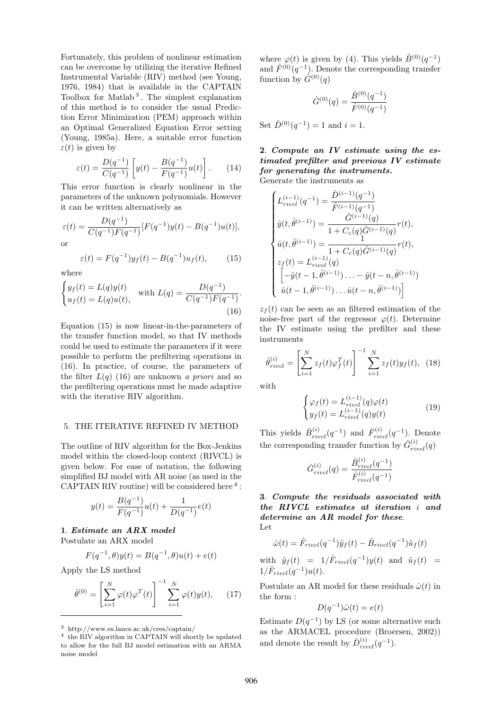Fortunately, this problem of nonlinear estimation can be overcome by utilizing the iterative Refined Instrumental Variable (RIV) method (see Young, 1976, 1984) that is available in the CAPTAIN Toolbox for Matlab <sup>3</sup> . The simplest explanation of this method is to consider the usual Prediction Error Minimization (PEM) approach within an Optimal Generalized Equation Error setting (Young, 1985a). Here, a suitable error function  $\varepsilon(t)$  is given by

$$
\varepsilon(t) = \frac{D(q^{-1})}{C(q^{-1})} \left[ y(t) - \frac{B(q^{-1})}{F(q^{-1})} u(t) \right].
$$
 (14)

This error function is clearly nonlinear in the parameters of the unknown polynomials. However it can be written alternatively as

$$
\varepsilon(t) = \frac{D(q^{-1})}{C(q^{-1})F(q^{-1})}[F(q^{-1})y(t) - B(q^{-1})u(t)],
$$
 or

$$
\varepsilon(t) = F(q^{-1})y_f(t) - B(q^{-1})u_f(t), \qquad (15)
$$

where

$$
\begin{cases} y_f(t) = L(q)y(t) \\ u_f(t) = L(q)u(t), \end{cases} \text{ with } L(q) = \frac{D(q^{-1})}{C(q^{-1})F(q^{-1})}. \tag{16}
$$

Equation (15) is now linear-in-the-parameters of the transfer function model, so that IV methods could be used to estimate the parameters if it were possible to perform the prefiltering operations in (16). In practice, of course, the parameters of the filter  $L(q)$  (16) are unknown a priori and so the prefiltering operations must be made adaptive with the iterative RIV algorithm.

### 5. THE ITERATIVE REFINED IV METHOD

The outline of RIV algorithm for the Box-Jenkins model within the closed-loop context (RIVCL) is given below. For ease of notation, the following simplified BJ model with AR noise (as used in the CAPTAIN RIV routine) will be considered here  $4$ :

$$
y(t) = \frac{B(q^{-1})}{F(q^{-1})}u(t) + \frac{1}{D(q^{-1})}e(t)
$$

**1**. *Estimate an ARX model* Postulate an ARX model

$$
F(q^{-1}, \theta)y(t) = B(q^{-1}, \theta)u(t) + e(t)
$$

Apply the LS method

$$
\hat{\theta}^{(0)} = \left[ \sum_{i=1}^{N} \varphi(t) \varphi^{T}(t) \right]^{-1} \sum_{i=1}^{N} \varphi(t) y(t), \qquad (17)
$$

where  $\varphi(t)$  is given by (4). This yields  $\hat{B}^{(0)}(q^{-1})$ and  $\hat{F}^{(0)}(q^{-1})$ . Denote the corresponding transfer function by  $\hat{G}^{(0)}(q)$ 

$$
\hat{G}^{(0)}(q) = \frac{\hat{B}^{(0)}(q^{-1})}{\hat{F}^{(0)}(q^{-1})}
$$

Set  $\hat{D}^{(0)}(q^{-1}) = 1$  and  $i = 1$ .

# **2**. *Compute an IV estimate using the estimated prefilter and previous IV estimate for generating the instruments.*

Generate the instruments as

$$
\begin{cases}\nL_{rivcl}^{(i-1)}(q^{-1}) = \frac{\hat{D}^{(i-1)}(q^{-1})}{\hat{F}^{(i-1)}(q^{-1})} \\
\hat{y}(t, \hat{\theta}^{(i-1)}) = \frac{\hat{G}^{(i-1)}(q)}{1 + C_c(q)\hat{G}^{(i-1)}(q)}r(t), \\
\hat{u}(t, \hat{\theta}^{(i-1)}) = \frac{1}{1 + C_c(q)\hat{G}^{(i-1)}(q)}r(t), \\
z_f(t) = L_{rivcl}^{(i-1)}(q) \\
\begin{bmatrix}\n-\hat{y}(t-1, \hat{\theta}^{(i-1)}) \dots - \hat{y}(t-n, \hat{\theta}^{(i-1)}) \\
\hat{u}(t-1, \hat{\theta}^{(i-1)}) \dots \hat{u}(t-n, \hat{\theta}^{(i-1)})\n\end{bmatrix}\n\end{cases}
$$

 $z_f(t)$  can be seen as an filtered estimation of the noise-free part of the regressor  $\varphi(t)$ . Determine the IV estimate using the prefilter and these instruments

$$
\hat{\theta}_{rivcl}^{(i)} = \left[\sum_{i=1}^{N} z_f(t)\varphi_f^T(t)\right]^{-1} \sum_{i=1}^{N} z_f(t)y_f(t), \tag{18}
$$

with

$$
\begin{cases}\n\varphi_f(t) = L_{rivcl}^{(i-1)}(q)\varphi(t) \\
y_f(t) = L_{rivcl}^{(i-1)}(q)y(t)\n\end{cases}
$$
\n(19)

This yields  $\hat{B}^{(i)}_{rivcl}(q^{-1})$  and  $\hat{F}^{(i)}_{rivcl}(q^{-1})$ . Denote the corresponding transfer function by  $\hat{G}^{(i)}_{rivcl}(q)$ 

$$
\hat{G}_{rivcl}^{(i)}(q) = \frac{\hat{B}_{rivcl}^{(i)}(q^{-1})}{\hat{F}_{rivcl}^{(i)}(q^{-1})}
$$

**3**. *Compute the residuals associated with the RIVCL estimates at iteration* i *and determine an AR model for these*. Let

$$
\hat{\omega}(t) = \hat{F}_{rivcl}(q^{-1})\tilde{y}_f(t) - \hat{B}_{rivcl}(q^{-1})\tilde{u}_f(t)
$$
\n
$$
\hat{y}_f(t) = 1/\hat{F}_{evcl}(q^{-1})\omega(t) \text{ and } \tilde{y}_f(t)
$$

with  $\tilde{y}_f(t) = 1/F_{rivel}(q^{-1})y(t)$  and  $\tilde{u}_f(t) =$  $1/\hat{F}_{rivcl}(q^{-1})u(t).$ 

Postulate an AR model for these residuals  $\hat{\omega}(t)$  in the form :

$$
D(q^{-1})\hat{\omega}(t) = e(t)
$$

Estimate  $D(q^{-1})$  by LS (or some alternative such as the ARMACEL procedure (Broersen, 2002)) and denote the result by  $\hat{D}_{rivcl}^{(i)}(q^{-1})$ .

<sup>3</sup> http://www.es.lancs.ac.uk/cres/captain/

<sup>&</sup>lt;sup>4</sup> the RIV algorithm in CAPTAIN will shortly be updated to allow for the full BJ model estimation with an ARMA noise model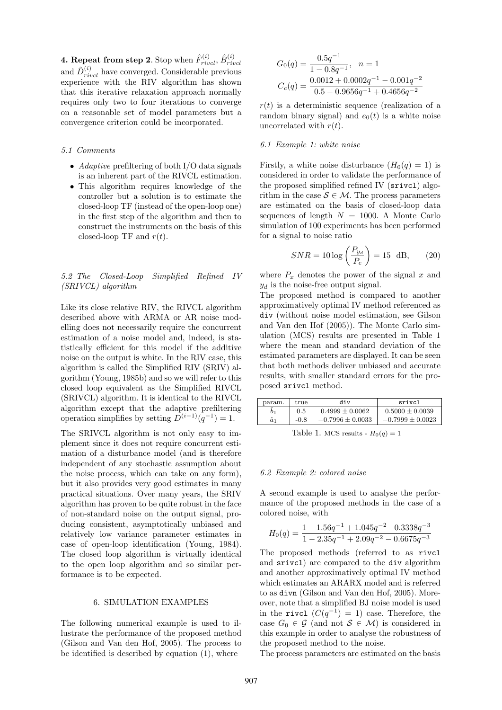**4. Repeat from step 2**. Stop when  $\hat{F}_{rivcl}^{(i)}$ ,  $\hat{B}_{rivcl}^{(i)}$ and  $\hat{D}_{rivel}^{(i)}$  have converged. Considerable previous experience with the RIV algorithm has shown that this iterative relaxation approach normally requires only two to four iterations to converge on a reasonable set of model parameters but a convergence criterion could be incorporated.

#### 5.1 Comments

- Adaptive prefiltering of both  $I/O$  data signals is an inherent part of the RIVCL estimation.
- This algorithm requires knowledge of the controller but a solution is to estimate the closed-loop TF (instead of the open-loop one) in the first step of the algorithm and then to construct the instruments on the basis of this closed-loop TF and  $r(t)$ .

### 5.2 The Closed-Loop Simplified Refined IV (SRIVCL) algorithm

Like its close relative RIV, the RIVCL algorithm described above with ARMA or AR noise modelling does not necessarily require the concurrent estimation of a noise model and, indeed, is statistically efficient for this model if the additive noise on the output is white. In the RIV case, this algorithm is called the Simplified RIV (SRIV) algorithm (Young, 1985b) and so we will refer to this closed loop equivalent as the Simplified RIVCL (SRIVCL) algorithm. It is identical to the RIVCL algorithm except that the adaptive prefiltering operation simplifies by setting  $D^{(i-1)}(q^{-1}) = 1$ .

The SRIVCL algorithm is not only easy to implement since it does not require concurrent estimation of a disturbance model (and is therefore independent of any stochastic assumption about the noise process, which can take on any form), but it also provides very good estimates in many practical situations. Over many years, the SRIV algorithm has proven to be quite robust in the face of non-standard noise on the output signal, producing consistent, asymptotically unbiased and relatively low variance parameter estimates in case of open-loop identification (Young, 1984). The closed loop algorithm is virtually identical to the open loop algorithm and so similar performance is to be expected.

#### 6. SIMULATION EXAMPLES

The following numerical example is used to illustrate the performance of the proposed method (Gilson and Van den Hof, 2005). The process to be identified is described by equation (1), where

$$
G_0(q) = \frac{0.5q^{-1}}{1 - 0.8q^{-1}}, \quad n = 1
$$
  

$$
C_c(q) = \frac{0.0012 + 0.0002q^{-1} - 0.001q^{-2}}{0.5 - 0.9656q^{-1} + 0.4656q^{-2}}
$$

 $r(t)$  is a deterministic sequence (realization of a random binary signal) and  $e_0(t)$  is a white noise uncorrelated with  $r(t)$ .

#### 6.1 Example 1: white noise

Firstly, a white noise disturbance  $(H_0(q) = 1)$  is considered in order to validate the performance of the proposed simplified refined IV (srivcl) algorithm in the case  $S \in \mathcal{M}$ . The process parameters are estimated on the basis of closed-loop data sequences of length  $N = 1000$ . A Monte Carlo simulation of 100 experiments has been performed for a signal to noise ratio

$$
SNR = 10 \log \left( \frac{P_{y_d}}{P_e} \right) = 15 \text{ dB}, \qquad (20)
$$

where  $P_x$  denotes the power of the signal x and  $y_d$  is the noise-free output signal.

The proposed method is compared to another approximatively optimal IV method referenced as div (without noise model estimation, see Gilson and Van den Hof (2005)). The Monte Carlo simulation (MCS) results are presented in Table 1 where the mean and standard deviation of the estimated parameters are displayed. It can be seen that both methods deliver unbiased and accurate results, with smaller standard errors for the proposed srivcl method.

| param.      | true   | div                  | srivcl               |  |
|-------------|--------|----------------------|----------------------|--|
| 01          | 0.5    | $0.4999 \pm 0.0062$  | $0.5000 \pm 0.0039$  |  |
| $\hat{a}_1$ | $-0.8$ | $-0.7996 \pm 0.0033$ | $-0.7999 \pm 0.0023$ |  |
|             |        |                      |                      |  |

Table 1. MCS results -  $H_0(q)=1$ 

#### 6.2 Example 2: colored noise

A second example is used to analyse the performance of the proposed methods in the case of a colored noise, with

$$
H_0(q) = \frac{1 - 1.56q^{-1} + 1.045q^{-2} - 0.3338q^{-3}}{1 - 2.35q^{-1} + 2.09q^{-2} - 0.6675q^{-3}}
$$

The proposed methods (referred to as rivcl and srivcl) are compared to the div algorithm and another approximatively optimal IV method which estimates an ARARX model and is referred to as divn (Gilson and Van den Hof, 2005). Moreover, note that a simplified BJ noise model is used in the rivcl  $(C(q^{-1}) = 1)$  case. Therefore, the case  $G_0 \in \mathcal{G}$  (and not  $\mathcal{S} \in \mathcal{M}$ ) is considered in this example in order to analyse the robustness of the proposed method to the noise.

The process parameters are estimated on the basis